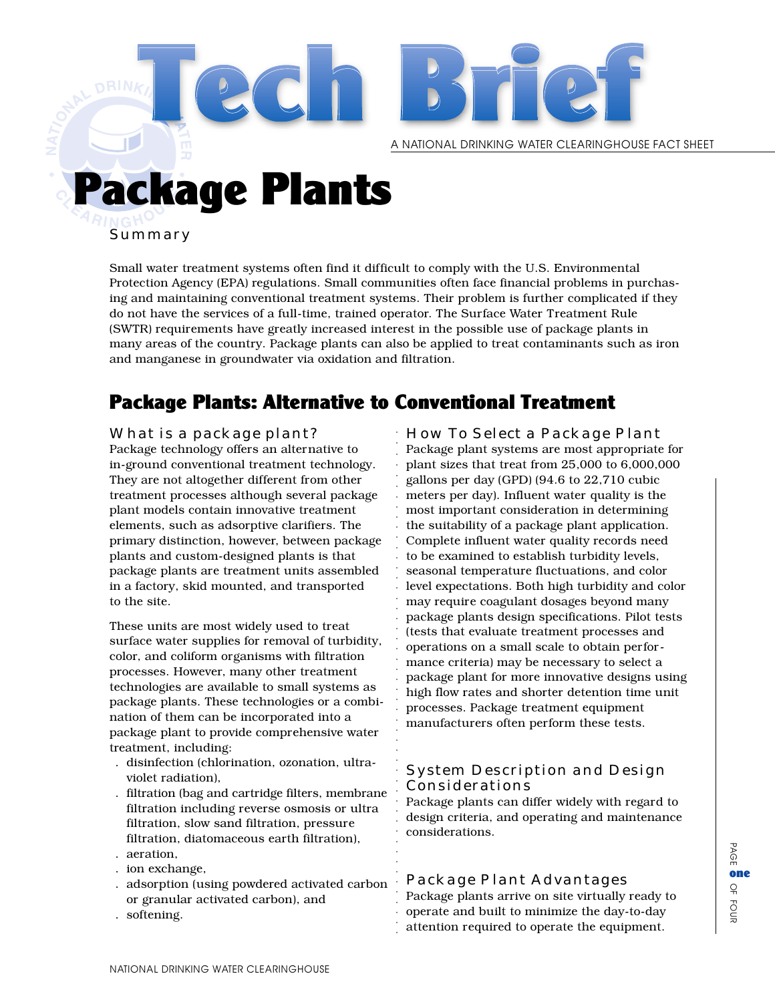A NATIONAL DRINKING WATER CLEARINGHOUSE FACT SHEET

# Package Plants Summary

Small water treatment systems often find it difficult to comply with the U.S. Environmental Protection Agency (EPA) regulations. Small communities often face financial problems in purchasing and maintaining conventional treatment systems. Their problem is further complicated if they do not have the services of a full-time, trained operator. The Surface Water Treatment Rule (SWTR) requirements have greatly increased interest in the possible use of package plants in many areas of the country. Package plants can also be applied to treat contaminants such as iron and manganese in groundwater via oxidation and filtration.

# aaaaaaaaaa Package Plants: Alternative to Conventional Treatment

# What is a package plant?

Package technology offers an alternative to in-ground conventional treatment technology. They are not altogether different from other treatment processes although several package plant models contain innovative treatment elements, such as adsorptive clarifiers. The primary distinction, however, between package plants and custom-designed plants is that package plants are treatment units assembled in a factory, skid mounted, and transported to the site.

These units are most widely used to treat surface water supplies for removal of turbidity, color, and coliform organisms with filtration processes. However, many other treatment technologies are available to small systems as package plants. These technologies or a combination of them can be incorporated into a package plant to provide comprehensive water treatment, including:

- . disinfection (chlorination, ozonation, ultraviolet radiation),
- . filtration (bag and cartridge filters, membrane filtration including reverse osmosis or ultra filtration, slow sand filtration, pressure filtration, diatomaceous earth filtration), . aeration,
- . ion exchange,
- . adsorption (using powdered activated carbon or granular activated carbon), and
- . softening.

# How To Select a Package Plant

and the sum of the most properties provide in a set and the suitability of a package plant application.<br>
Complete influent water quality records need to be examined to establish turbidity levels, seasonal temperature fluc Package plant systems are most appropriate for plant sizes that treat from 25,000 to 6,000,000 gallons per day (GPD) (94.6 to 22,710 cubic meters per day). Influent water quality is the most important consideration in determining the suitability of a package plant application. Complete influent water quality records need to be examined to establish turbidity levels, seasonal temperature fluctuations, and color level expectations. Both high turbidity and color may require coagulant dosages beyond many package plants design specifications. Pilot tests (tests that evaluate treatment processes and operations on a small scale to obtain performance criteria) may be necessary to select a package plant for more innovative designs using high flow rates and shorter detention time unit processes. Package treatment equipment manufacturers often perform these tests.

# System Description and Design Considerations

Package plants can differ widely with regard to design criteria, and operating and maintenance considerations.

# Package Plant Advantages

Package plants arrive on site virtually ready to operate and built to minimize the day-to-day attention required to operate the equipment.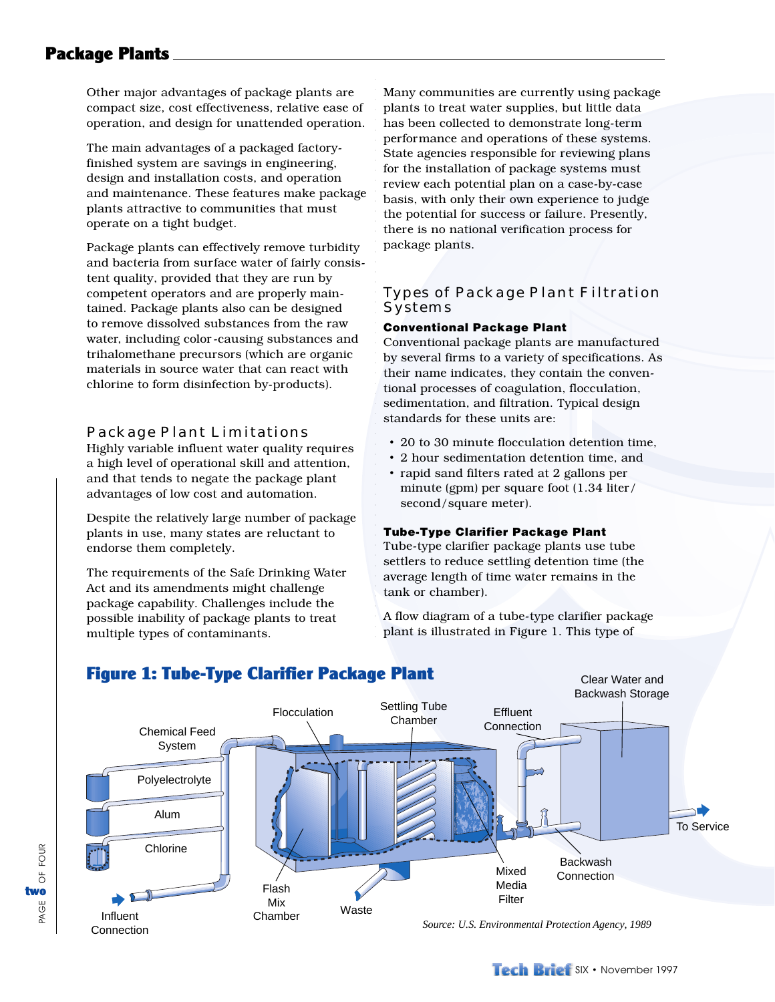# Package Plants

compact size, cost effectiveness, relative ease of operation, and design for unattended operation.

The main advantages of a packaged factoryfinished system are savings in engineering, design and installation costs, and operation and maintenance. These features make package plants attractive to communities that must operate on a tight budget.

Other major advantages of package plants are<br>compact size, cost effectiveness, relative ease of<br>operation, and design for unattended operation.<br>The main advantages of a packaged factory-<br>finished system are savings in engi Package plants can effectively remove turbidity and bacteria from surface water of fairly consistent quality, provided that they are run by competent operators and are properly maintained. Package plants also can be designed to remove dissolved substances from the raw water, including color -causing substances and trihalomethane precursors (which are organic materials in source water that can react with chlorine to form disinfection by-products).

# Package Plant Limitations

Highly variable influent water quality requires a high level of operational skill and attention, and that tends to negate the package plant advantages of low cost and automation.

Despite the relatively large number of package plants in use, many states are reluctant to endorse them completely.

The requirements of the Safe Drinking Water Act and its amendments might challenge package capability. Challenges include the possible inability of package plants to treat multiple types of contaminants.

Many communities are currently using package plants to treat water supplies, but little data has been collected to demonstrate long-term performance and operations of these systems. State agencies responsible for reviewing plans for the installation of package systems must review each potential plan on a case-by-case basis, with only their own experience to judge the potential for success or failure. Presently, there is no national verification process for package plants.

# Types of Package Plant Filtration Systems

#### **Conventional Package Plant**

Conventional package plants are manufactured by several firms to a variety of specifications. As their name indicates, they contain the conventional processes of coagulation, flocculation, sedimentation, and filtration. Typical design standards for these units are:

- 20 to 30 minute flocculation detention time,
- 2 hour sedimentation detention time, and
- rapid sand filters rated at 2 gallons per minute (gpm) per square foot (1.34 liter/ second/square meter).

### **Tube-Type Clarifier Package Plant**

Tube-type clarifier package plants use tube settlers to reduce settling detention time (the average length of time water remains in the tank or chamber).

A flow diagram of a tube-type clarifier package plant is illustrated in Figure 1. This type of



# Figure 1: Tube-Type Clarifier Package Plant

Clear Water and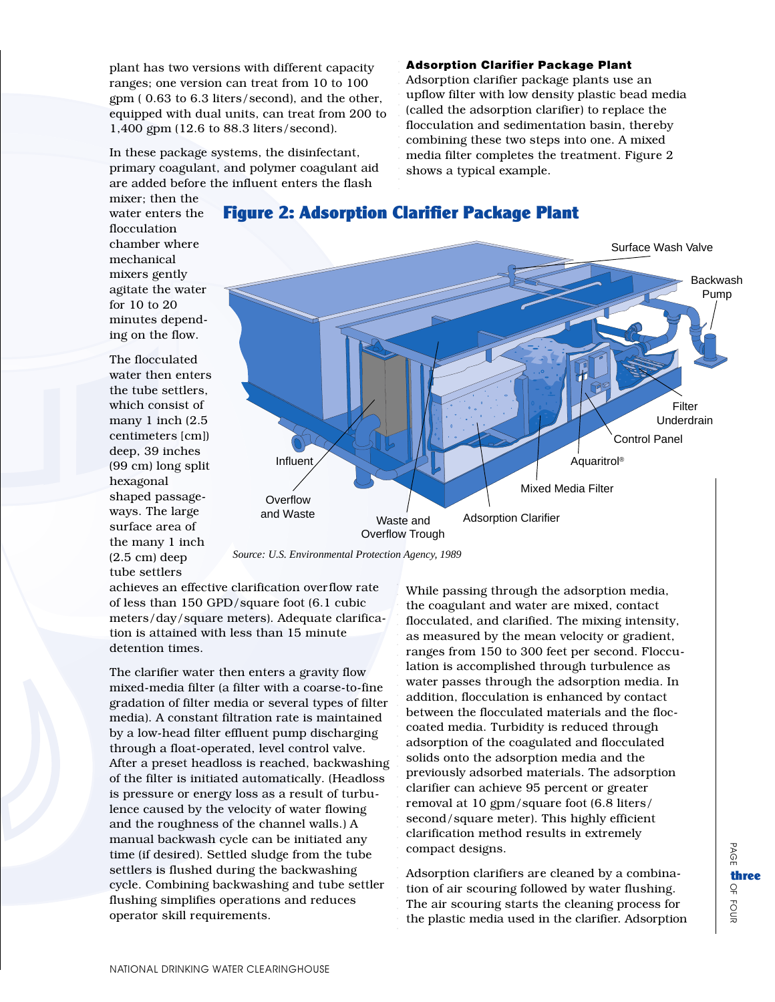plant has two versions with different capacity ranges; one version can treat from 10 to 100 gpm ( 0.63 to 6.3 liters/second), and the other, equipped with dual units, can treat from 200 to 1,400 gpm (12.6 to 88.3 liters/second).

In these package systems, the disinfectant, primary coagulant, and polymer coagulant aid are added before the influent enters the flash

#### **Adsorption Clarifier Package Plant**

aaaaaaaaa

Figure 2: Adsorption Clarifier Package Plant

Adsorption clarifier package plants use an upflow filter with low density plastic bead media (called the adsorption clarifier) to replace the flocculation and sedimentation basin, thereby combining these two steps into one. A mixed media filter completes the treatment. Figure 2 shows a typical example.

mixer; then the water enters the flocculation chamber where mechanical mixers gently agitate the water for 10 to 20 minutes depending on the flow.

The flocculated water then enters the tube settlers, which consist of many 1 inch (2.5 centimeters [cm]) deep, 39 inches (99 cm) long split hexagonal shaped passageways. The large surface area of the many 1 inch (2.5 cm) deep tube settlers



*Source: U.S. Environmental Protection Agency, 1989*

aaaaaaaaaaaaaaaaaaaaaaaaaaaaaaaaaaa

achieves an effective clarification overflow rate of less than 150 GPD/square foot (6.1 cubic meters/day/square meters). Adequate clarification is attained with less than 15 minute detention times.

The clarifier water then enters a gravity flow mixed-media filter (a filter with a coarse-to-fine gradation of filter media or several types of filter media). A constant filtration rate is maintained by a low-head filter effluent pump discharging through a float-operated, level control valve. After a preset headloss is reached, backwashing of the filter is initiated automatically. (Headloss is pressure or energy loss as a result of turbulence caused by the velocity of water flowing and the roughness of the channel walls.) A manual backwash cycle can be initiated any time (if desired). Settled sludge from the tube settlers is flushed during the backwashing cycle. Combining backwashing and tube settler flushing simplifies operations and reduces operator skill requirements.

While passing through the adsorption media, the coagulant and water are mixed, contact flocculated, and clarified. The mixing intensity, as measured by the mean velocity or gradient, ranges from 150 to 300 feet per second. Flocculation is accomplished through turbulence as water passes through the adsorption media. In addition, flocculation is enhanced by contact between the flocculated materials and the floccoated media. Turbidity is reduced through adsorption of the coagulated and flocculated solids onto the adsorption media and the previously adsorbed materials. The adsorption clarifier can achieve 95 percent or greater removal at 10 gpm/square foot (6.8 liters/ second/square meter). This highly efficient clarification method results in extremely compact designs.

Adsorption clarifiers are cleaned by a combination of air scouring followed by water flushing. The air scouring starts the cleaning process for the plastic media used in the clarifier. Adsorption